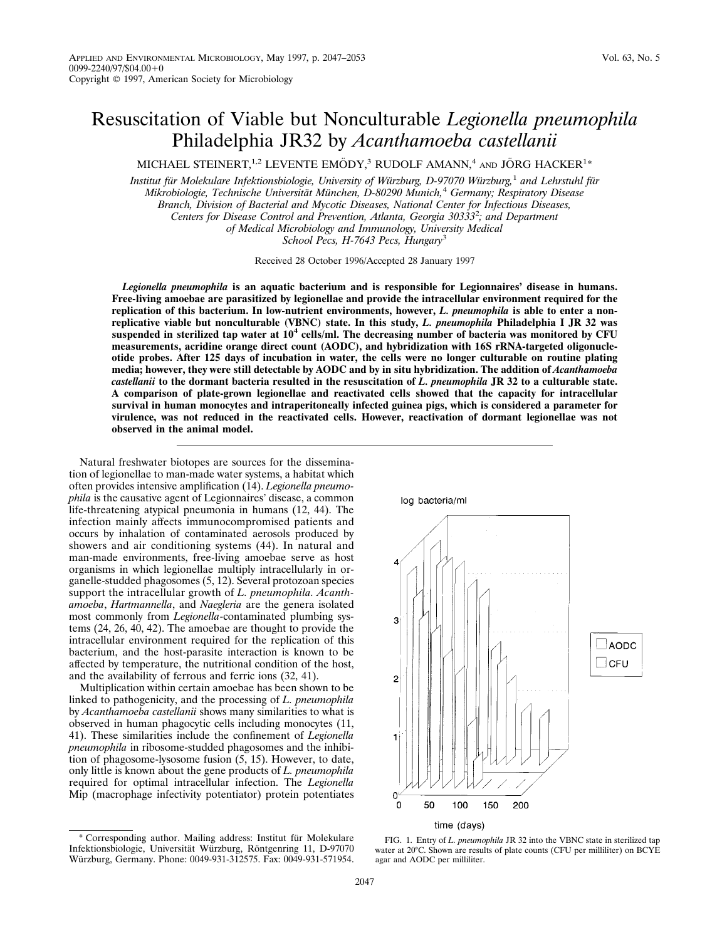# Resuscitation of Viable but Nonculturable *Legionella pneumophila* Philadelphia JR32 by *Acanthamoeba castellanii*

MICHAEL STEINERT,<sup>1,2</sup> LEVENTE EMÖDY,<sup>3</sup> RUDOLF AMANN,<sup>4</sup> and JÖRG HACKER<sup>1\*</sup>

*Institut fu¨r Molekulare Infektionsbiologie, University of Wu¨rzburg, D-97070 Wu¨rzburg,*<sup>1</sup> *and Lehrstuhl fu¨r Mikrobiologie, Technische Universita¨t Mu¨nchen, D-80290 Munich,*<sup>4</sup> *Germany; Respiratory Disease Branch, Division of Bacterial and Mycotic Diseases, National Center for Infectious Diseases, Centers for Disease Control and Prevention, Atlanta, Georgia 30333*<sup>2</sup> *; and Department of Medical Microbiology and Immunology, University Medical School Pecs, H-7643 Pecs, Hungary*<sup>3</sup>

Received 28 October 1996/Accepted 28 January 1997

*Legionella pneumophila* **is an aquatic bacterium and is responsible for Legionnaires' disease in humans. Free-living amoebae are parasitized by legionellae and provide the intracellular environment required for the replication of this bacterium. In low-nutrient environments, however,** *L. pneumophila* **is able to enter a nonreplicative viable but nonculturable (VBNC) state. In this study,** *L. pneumophila* **Philadelphia I JR 32 was suspended in sterilized tap water at 10<sup>4</sup> cells/ml. The decreasing number of bacteria was monitored by CFU measurements, acridine orange direct count (AODC), and hybridization with 16S rRNA-targeted oligonucleotide probes. After 125 days of incubation in water, the cells were no longer culturable on routine plating media; however, they were still detectable by AODC and by in situ hybridization. The addition of** *Acanthamoeba castellanii* **to the dormant bacteria resulted in the resuscitation of** *L. pneumophila* **JR 32 to a culturable state. A comparison of plate-grown legionellae and reactivated cells showed that the capacity for intracellular survival in human monocytes and intraperitoneally infected guinea pigs, which is considered a parameter for virulence, was not reduced in the reactivated cells. However, reactivation of dormant legionellae was not observed in the animal model.**

Natural freshwater biotopes are sources for the dissemination of legionellae to man-made water systems, a habitat which often provides intensive amplification (14). *Legionella pneumophila* is the causative agent of Legionnaires' disease, a common life-threatening atypical pneumonia in humans (12, 44). The infection mainly affects immunocompromised patients and occurs by inhalation of contaminated aerosols produced by showers and air conditioning systems (44). In natural and man-made environments, free-living amoebae serve as host organisms in which legionellae multiply intracellularly in organelle-studded phagosomes (5, 12). Several protozoan species support the intracellular growth of *L. pneumophila. Acanthamoeba*, *Hartmannella*, and *Naegleria* are the genera isolated most commonly from *Legionella*-contaminated plumbing systems (24, 26, 40, 42). The amoebae are thought to provide the intracellular environment required for the replication of this bacterium, and the host-parasite interaction is known to be affected by temperature, the nutritional condition of the host, and the availability of ferrous and ferric ions (32, 41).

Multiplication within certain amoebae has been shown to be linked to pathogenicity, and the processing of *L. pneumophila* by *Acanthamoeba castellanii* shows many similarities to what is observed in human phagocytic cells including monocytes (11, 41). These similarities include the confinement of *Legionella pneumophila* in ribosome-studded phagosomes and the inhibition of phagosome-lysosome fusion (5, 15). However, to date, only little is known about the gene products of *L. pneumophila* required for optimal intracellular infection. The *Legionella* Mip (macrophage infectivity potentiator) protein potentiates





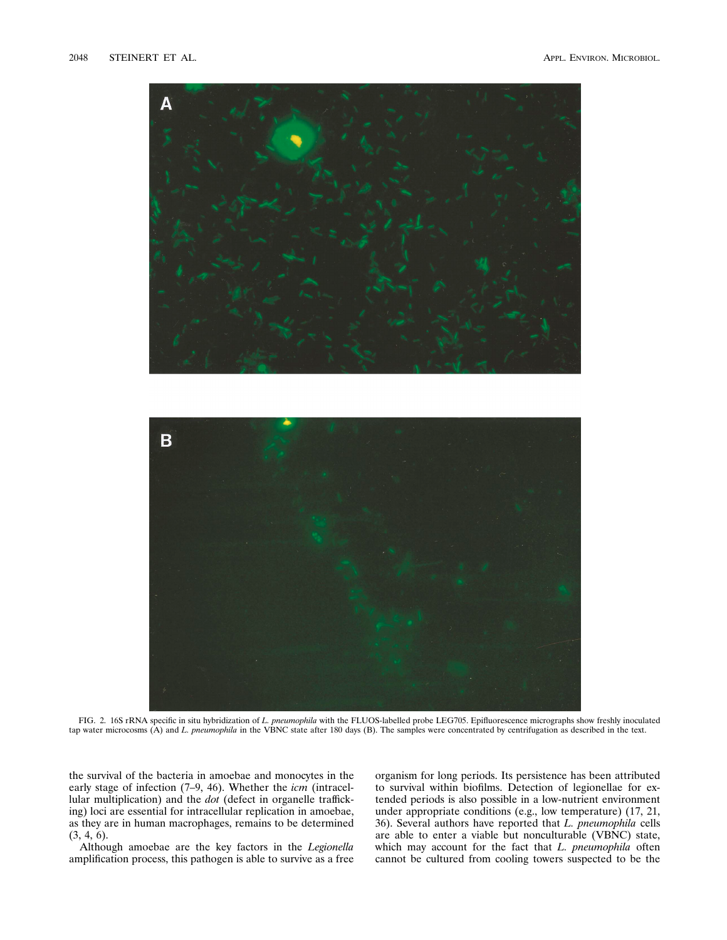

FIG. 2. 16S rRNA specific in situ hybridization of *L. pneumophila* with the FLUOS-labelled probe LEG705. Epifluorescence micrographs show freshly inoculated tap water microcosms (A) and *L. pneumophila* in the VBNC state after 180 days (B). The samples were concentrated by centrifugation as described in the text.

the survival of the bacteria in amoebae and monocytes in the early stage of infection (7–9, 46). Whether the *icm* (intracellular multiplication) and the *dot* (defect in organelle trafficking) loci are essential for intracellular replication in amoebae, as they are in human macrophages, remains to be determined (3, 4, 6).

Although amoebae are the key factors in the *Legionella* amplification process, this pathogen is able to survive as a free organism for long periods. Its persistence has been attributed to survival within biofilms. Detection of legionellae for extended periods is also possible in a low-nutrient environment under appropriate conditions (e.g., low temperature) (17, 21, 36). Several authors have reported that *L. pneumophila* cells are able to enter a viable but nonculturable (VBNC) state, which may account for the fact that *L. pneumophila* often cannot be cultured from cooling towers suspected to be the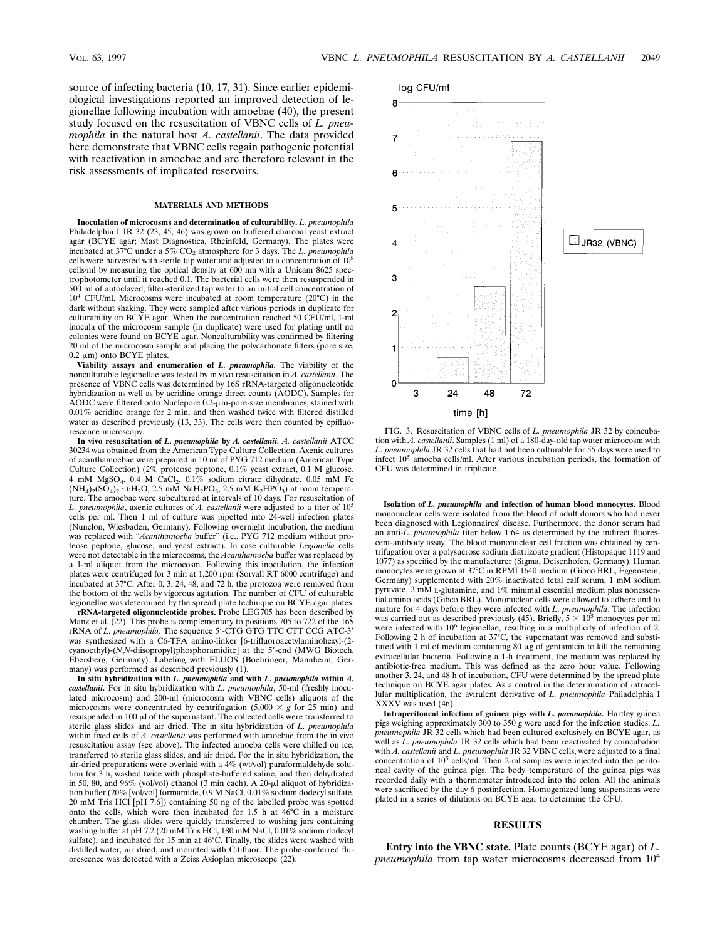source of infecting bacteria (10, 17, 31). Since earlier epidemiological investigations reported an improved detection of legionellae following incubation with amoebae (40), the present study focused on the resuscitation of VBNC cells of *L. pneumophila* in the natural host *A. castellanii*. The data provided here demonstrate that VBNC cells regain pathogenic potential with reactivation in amoebae and are therefore relevant in the risk assessments of implicated reservoirs.

#### **MATERIALS AND METHODS**

**Inoculation of microcosms and determination of culturability.** *L. pneumophila* Philadelphia I JR 32 (23, 45, 46) was grown on buffered charcoal yeast extract agar (BCYE agar; Mast Diagnostica, Rheinfeld, Germany). The plates were incubated at 37°C under a 5% CO<sub>2</sub> atmosphere for 3 days. The *L. pneumophila* cells were harvested with sterile tap water and adjusted to a concentration of 10<sup>8</sup> cells/ml by measuring the optical density at 600 nm with a Unicam 8625 spectrophotometer until it reached 0.1. The bacterial cells were then resuspended in 500 ml of autoclaved, filter-sterilized tap water to an initial cell concentration of 104 CFU/ml. Microcosms were incubated at room temperature (20°C) in the dark without shaking. They were sampled after various periods in duplicate for culturability on BCYE agar. When the concentration reached 50 CFU/ml, 1-ml inocula of the microcosm sample (in duplicate) were used for plating until no colonies were found on BCYE agar. Nonculturability was confirmed by filtering 20 ml of the microcosm sample and placing the polycarbonate filters (pore size,  $0.2 \mu m$ ) onto BCYE plates.

**Viability assays and enumeration of** *L. pneumophila.* The viability of the nonculturable legionellae was tested by in vivo resuscitation in *A. castellanii*. The presence of VBNC cells was determined by 16S rRNA-targeted oligonucleotide hybridization as well as by acridine orange direct counts (AODC). Samples for AODC were filtered onto Nuclepore 0.2-um-pore-size membranes, stained with 0.01% acridine orange for 2 min, and then washed twice with filtered distilled water as described previously (13, 33). The cells were then counted by epifluorescence microscopy.

**In vivo resuscitation of** *L. pneumophila* **by** *A. castellanii. A. castellanii* ATCC 30234 was obtained from the American Type Culture Collection. Axenic cultures of acanthamoebae were prepared in 10 ml of PYG 712 medium (American Type Culture Collection) (2% proteose peptone, 0.1% yeast extract, 0.1 M glucose, 4 mM MgSO<sub>4</sub>,  $0.4$  M CaCl<sub>2</sub>,  $0.1\%$  sodium citrate dihydrate,  $0.05$  mM Fe  $(NH_4)_2(SO_4)_2$   $6H_2O$ , 2.5 mM NaH<sub>2</sub>PO<sub>3</sub>, 2.5 mM K<sub>2</sub>HPO<sub>3</sub>) at room temperature. The amoebae were subcultured at intervals of 10 days. For resuscitation of *L. pneumophila*, axenic cultures of *A. castellanii* were adjusted to a titer of 10<sup>5</sup> cells per ml. Then 1 ml of culture was pipetted into 24-well infection plates (Nunclon, Wiesbaden, Germany). Following overnight incubation, the medium was replaced with "*Acanthamoeba* buffer" (i.e., PYG 712 medium without proteose peptone, glucose, and yeast extract). In case culturable *Legionella* cells were not detectable in the microcosms, the *Acanthamoeba* buffer was replaced by a 1-ml aliquot from the microcosm. Following this inoculation, the infection plates were centrifuged for 3 min at 1,200 rpm (Sorvall RT 6000 centrifuge) and incubated at 37°C. After 0, 3, 24, 48, and 72 h, the protozoa were removed from the bottom of the wells by vigorous agitation. The number of CFU of culturable legionellae was determined by the spread plate technique on BCYE agar plates.

**rRNA-targeted oligonucleotide probes.** Probe LEG705 has been described by Manz et al. (22). This probe is complementary to positions 705 to 722 of the 16S<br>rRNA of *L. pneumophila*. The sequence 5'-CTG GTG TTC CTT CCG ATC-3' was synthesized with a C6-TFA amino-linker [6-trifluoroacetylaminohexyl-(2 cyanoethyl)-(*N*,*N*-diisopropyl)phosphoramidite] at the 5'-end (MWG Biotech, Ebersberg, Germany). Labeling with FLUOS (Boehringer, Mannheim, Germany) was performed as described previously (1).

**In situ hybridization with** *L. pneumophila* **and with** *L. pneumophila* **within** *A. castellanii.* For in situ hybridization with *L. pneumophila*, 50-ml (freshly inoculated microcosm) and 200-ml (microcosm with VBNC cells) aliquots of the microcosms were concentrated by centrifugation  $(5,000 \times g$  for 25 min) and resuspended in 100  $\mu$ l of the supernatant. The collected cells were transferred to sterile glass slides and air dried. The in situ hybridization of *L. pneumophila* within fixed cells of *A. castellanii* was performed with amoebae from the in vivo resuscitation assay (see above). The infected amoeba cells were chilled on ice, transferred to sterile glass slides, and air dried. For the in situ hybridization, the air-dried preparations were overlaid with a 4% (wt/vol) paraformaldehyde solution for 3 h, washed twice with phosphate-buffered saline, and then dehydrated in 50, 80, and 96% (vol/vol) ethanol (3 min each). A 20- $\mu$ l aliquot of hybridization buffer (20% [vol/vol] formamide, 0.9 M NaCl, 0.01% sodium dodecyl sulfate, 20 mM Tris HCl [pH 7.6]) containing 50 ng of the labelled probe was spotted onto the cells, which were then incubated for 1.5 h at 46°C in a moisture chamber. The glass slides were quickly transferred to washing jars containing washing buffer at pH 7.2 (20 mM Tris HCl, 180 mM NaCl, 0.01% sodium dodecyl sulfate), and incubated for 15 min at 46°C. Finally, the slides were washed with distilled water, air dried, and mounted with Citifluor. The probe-conferred fluorescence was detected with a Zeiss Axioplan microscope (22).



FIG. 3. Resuscitation of VBNC cells of *L. pneumophila* JR 32 by coincubation with *A. castellanii*. Samples (1 ml) of a 180-day-old tap water microcosm with *L. pneumophila* JR 32 cells that had not been culturable for 55 days were used to infect  $10<sup>5</sup>$  amoeba cells/ml. After various incubation periods, the formation of CFU was determined in triplicate.

**Isolation of** *L. pneumophila* **and infection of human blood monocytes.** Blood mononuclear cells were isolated from the blood of adult donors who had never been diagnosed with Legionnaires' disease. Furthermore, the donor serum had an anti-*L. pneumophila* titer below 1:64 as determined by the indirect fluorescent-antibody assay. The blood mononuclear cell fraction was obtained by centrifugation over a polysucrose sodium diatrizoate gradient (Histopaque 1119 and 1077) as specified by the manufacturer (Sigma, Deisenhofen, Germany). Human monocytes were grown at 37°C in RPMI 1640 medium (Gibco BRL, Eggenstein, Germany) supplemented with 20% inactivated fetal calf serum, 1 mM sodium pyruvate, 2 mM L-glutamine, and 1% minimal essential medium plus nonessential amino acids (Gibco BRL). Mononuclear cells were allowed to adhere and to mature for 4 days before they were infected with *L. pneumophila*. The infection was carried out as described previously (45). Briefly,  $5 \times 10^5$  monocytes per ml were infected with 10<sup>6</sup> legionellae, resulting in a multiplicity of infection of 2.<br>Following 2 h of incubation at 37°C, the supernatant was removed and substituted with 1 ml of medium containing 80  $\mu$ g of gentamicin to kill the remaining extracellular bacteria. Following a 1-h treatment, the medium was replaced by antibiotic-free medium. This was defined as the zero hour value. Following another 3, 24, and 48 h of incubation, CFU were determined by the spread plate technique on BCYE agar plates. As a control in the determination of intracellular multiplication, the avirulent derivative of *L. pneumophila* Philadelphia I XXXV was used (46).

**Intraperitoneal infection of guinea pigs with** *L. pneumophila.* Hartley guinea pigs weighing approximately 300 to 350 g were used for the infection studies. *L. pneumophila* JR 32 cells which had been cultured exclusively on BCYE agar, as well as *L. pneumophila* JR 32 cells which had been reactivated by coincubation with *A. castellanii* and *L. pneumophila* JR 32 VBNC cells, were adjusted to a final concentration of  $10^5$  cells/ml. Then 2-ml samples were injected into the peritoneal cavity of the guinea pigs. The body temperature of the guinea pigs was recorded daily with a thermometer introduced into the colon. All the animals were sacrificed by the day 6 postinfection. Homogenized lung suspensions were plated in a series of dilutions on BCYE agar to determine the CFU.

#### **RESULTS**

**Entry into the VBNC state.** Plate counts (BCYE agar) of *L. pneumophila* from tap water microcosms decreased from  $10^4$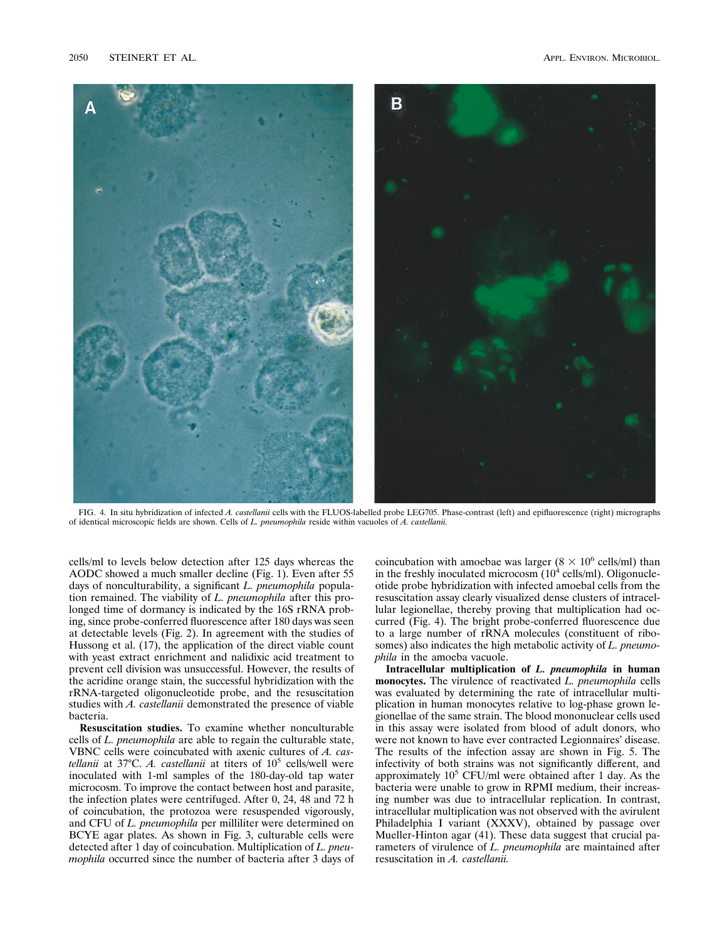

FIG. 4. In situ hybridization of infected *A. castellanii* cells with the FLUOS-labelled probe LEG705. Phase-contrast (left) and epifluorescence (right) micrographs of identical microscopic fields are shown. Cells of *L. pneumophila* reside within vacuoles of *A. castellanii.*

cells/ml to levels below detection after 125 days whereas the AODC showed a much smaller decline (Fig. 1). Even after 55 days of nonculturability, a significant *L. pneumophila* population remained. The viability of *L. pneumophila* after this prolonged time of dormancy is indicated by the 16S rRNA probing, since probe-conferred fluorescence after 180 days was seen at detectable levels (Fig. 2). In agreement with the studies of Hussong et al. (17), the application of the direct viable count with yeast extract enrichment and nalidixic acid treatment to prevent cell division was unsuccessful. However, the results of the acridine orange stain, the successful hybridization with the rRNA-targeted oligonucleotide probe, and the resuscitation studies with *A. castellanii* demonstrated the presence of viable bacteria.

**Resuscitation studies.** To examine whether nonculturable cells of *L. pneumophila* are able to regain the culturable state, VBNC cells were coincubated with axenic cultures of *A. castellanii* at 37 $\degree$ C. *A. castellanii* at titers of  $10\degree$  cells/well were inoculated with 1-ml samples of the 180-day-old tap water microcosm. To improve the contact between host and parasite, the infection plates were centrifuged. After 0, 24, 48 and 72 h of coincubation, the protozoa were resuspended vigorously, and CFU of *L. pneumophila* per milliliter were determined on BCYE agar plates. As shown in Fig. 3, culturable cells were detected after 1 day of coincubation. Multiplication of *L. pneumophila* occurred since the number of bacteria after 3 days of

coincubation with amoebae was larger ( $8 \times 10^6$  cells/ml) than in the freshly inoculated microcosm  $(10^4 \text{ cells/ml})$ . Oligonucleotide probe hybridization with infected amoebal cells from the resuscitation assay clearly visualized dense clusters of intracellular legionellae, thereby proving that multiplication had occurred (Fig. 4). The bright probe-conferred fluorescence due to a large number of rRNA molecules (constituent of ribosomes) also indicates the high metabolic activity of *L. pneumophila* in the amoeba vacuole.

**Intracellular multiplication of** *L. pneumophila* **in human monocytes.** The virulence of reactivated *L. pneumophila* cells was evaluated by determining the rate of intracellular multiplication in human monocytes relative to log-phase grown legionellae of the same strain. The blood mononuclear cells used in this assay were isolated from blood of adult donors, who were not known to have ever contracted Legionnaires' disease. The results of the infection assay are shown in Fig. 5. The infectivity of both strains was not significantly different, and approximately  $10<sup>5</sup>$  CFU/ml were obtained after 1 day. As the bacteria were unable to grow in RPMI medium, their increasing number was due to intracellular replication. In contrast, intracellular multiplication was not observed with the avirulent Philadelphia I variant (XXXV), obtained by passage over Mueller-Hinton agar (41). These data suggest that crucial parameters of virulence of *L. pneumophila* are maintained after resuscitation in *A. castellanii.*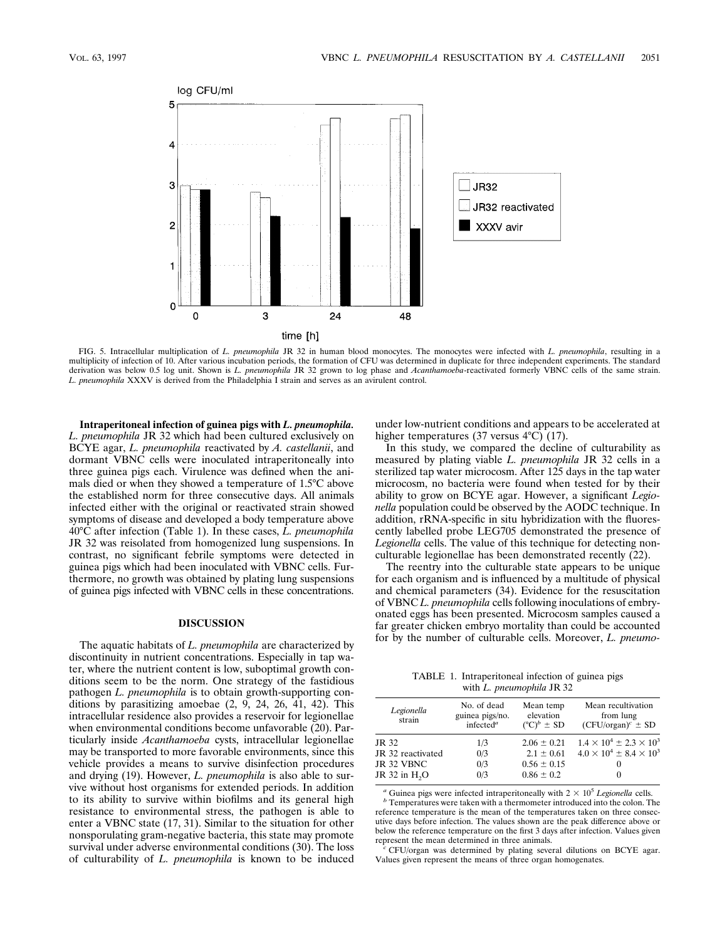

FIG. 5. Intracellular multiplication of *L. pneumophila* JR 32 in human blood monocytes. The monocytes were infected with *L. pneumophila*, resulting in a multiplicity of infection of 10. After various incubation periods, the formation of CFU was determined in duplicate for three independent experiments. The standard derivation was below 0.5 log unit. Shown is *L. pneumophila* JR 32 grown to log phase and *Acanthamoeba*-reactivated formerly VBNC cells of the same strain. *L. pneumophila* XXXV is derived from the Philadelphia I strain and serves as an avirulent control.

**Intraperitoneal infection of guinea pigs with** *L. pneumophila. L. pneumophila* JR 32 which had been cultured exclusively on BCYE agar, *L. pneumophila* reactivated by *A. castellanii*, and dormant VBNC cells were inoculated intraperitoneally into three guinea pigs each. Virulence was defined when the animals died or when they showed a temperature of 1.5°C above the established norm for three consecutive days. All animals infected either with the original or reactivated strain showed symptoms of disease and developed a body temperature above 40°C after infection (Table 1). In these cases, *L. pneumophila* JR 32 was reisolated from homogenized lung suspensions. In contrast, no significant febrile symptoms were detected in guinea pigs which had been inoculated with VBNC cells. Furthermore, no growth was obtained by plating lung suspensions of guinea pigs infected with VBNC cells in these concentrations.

### **DISCUSSION**

The aquatic habitats of *L. pneumophila* are characterized by discontinuity in nutrient concentrations. Especially in tap water, where the nutrient content is low, suboptimal growth conditions seem to be the norm. One strategy of the fastidious pathogen *L. pneumophila* is to obtain growth-supporting conditions by parasitizing amoebae (2, 9, 24, 26, 41, 42). This intracellular residence also provides a reservoir for legionellae when environmental conditions become unfavorable (20). Particularly inside *Acanthamoeba* cysts, intracellular legionellae may be transported to more favorable environments, since this vehicle provides a means to survive disinfection procedures and drying (19). However, *L. pneumophila* is also able to survive without host organisms for extended periods. In addition to its ability to survive within biofilms and its general high resistance to environmental stress, the pathogen is able to enter a VBNC state (17, 31). Similar to the situation for other nonsporulating gram-negative bacteria, this state may promote survival under adverse environmental conditions (30). The loss of culturability of *L. pneumophila* is known to be induced under low-nutrient conditions and appears to be accelerated at higher temperatures (37 versus  $4^{\circ}C$ ) (17).

In this study, we compared the decline of culturability as measured by plating viable *L. pneumophila* JR 32 cells in a sterilized tap water microcosm. After 125 days in the tap water microcosm, no bacteria were found when tested for by their ability to grow on BCYE agar. However, a significant *Legionella* population could be observed by the AODC technique. In addition, rRNA-specific in situ hybridization with the fluorescently labelled probe LEG705 demonstrated the presence of *Legionella* cells. The value of this technique for detecting nonculturable legionellae has been demonstrated recently (22).

The reentry into the culturable state appears to be unique for each organism and is influenced by a multitude of physical and chemical parameters (34). Evidence for the resuscitation of VBNC *L. pneumophila* cells following inoculations of embryonated eggs has been presented. Microcosm samples caused a far greater chicken embryo mortality than could be accounted for by the number of culturable cells. Moreover, *L. pneumo-*

TABLE 1. Intraperitoneal infection of guinea pigs with *L. pneumophila* JR 32

| Legionella<br>strain      | No. of dead<br>guinea pigs/no.<br>infected <sup>a</sup> | Mean temp<br>elevation<br>$({}^{\circ}C)^b \pm SD$ | Mean recultivation<br>from lung<br>$(CFU/organ)^c \pm SD$ |
|---------------------------|---------------------------------------------------------|----------------------------------------------------|-----------------------------------------------------------|
| JR 32                     | 1/3                                                     | $2.06 \pm 0.21$                                    | $1.4 \times 10^4 \pm 2.3 \times 10^3$                     |
| JR 32 reactivated         | 0/3                                                     | $2.1 \pm 0.61$                                     | $4.0 \times 10^4 \pm 8.4 \times 10^3$                     |
| JR 32 VBNC                | 0/3                                                     | $0.56 \pm 0.15$                                    | $\theta$                                                  |
| JR 32 in H <sub>2</sub> O | 0/3                                                     | $0.86 \pm 0.2$                                     | $_{0}$                                                    |
|                           |                                                         |                                                    |                                                           |

*a* Guinea pigs were infected intraperitoneally with  $2 \times 10^5$  *Legionella* cells. *b* Temperatures were taken with a thermometer introduced into the colon. The

reference temperature is the mean of the temperatures taken on three consecutive days before infection. The values shown are the peak difference above or below the reference temperature on the first 3 days after infection. Values given<br>represent the mean determined in three animals.

 $r$ CFU/organ was determined by plating several dilutions on BCYE agar. Values given represent the means of three organ homogenates.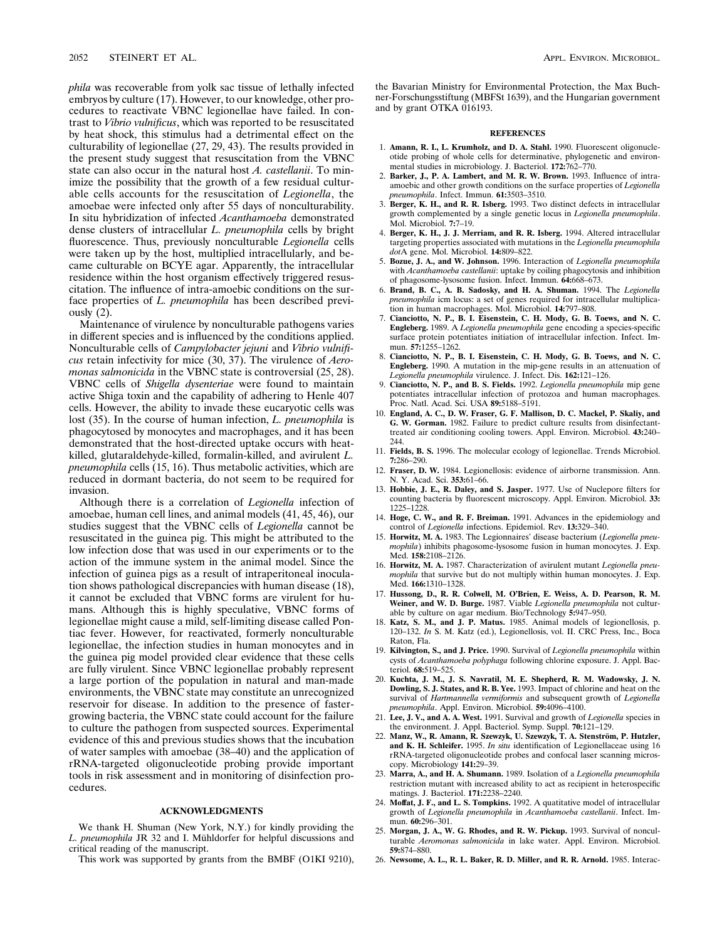*phila* was recoverable from yolk sac tissue of lethally infected embryos by culture (17). However, to our knowledge, other procedures to reactivate VBNC legionellae have failed. In contrast to *Vibrio vulnificus*, which was reported to be resuscitated by heat shock, this stimulus had a detrimental effect on the culturability of legionellae (27, 29, 43). The results provided in the present study suggest that resuscitation from the VBNC state can also occur in the natural host *A. castellanii*. To minimize the possibility that the growth of a few residual culturable cells accounts for the resuscitation of *Legionella*, the amoebae were infected only after 55 days of nonculturability. In situ hybridization of infected *Acanthamoeba* demonstrated dense clusters of intracellular *L. pneumophila* cells by bright fluorescence. Thus, previously nonculturable *Legionella* cells were taken up by the host, multiplied intracellularly, and became culturable on BCYE agar. Apparently, the intracellular residence within the host organism effectively triggered resuscitation. The influence of intra-amoebic conditions on the surface properties of *L. pneumophila* has been described previously (2).

Maintenance of virulence by nonculturable pathogens varies in different species and is influenced by the conditions applied. Nonculturable cells of *Campylobacter jejuni* and *Vibrio vulnificus* retain infectivity for mice (30, 37). The virulence of *Aeromonas salmonicida* in the VBNC state is controversial (25, 28). VBNC cells of *Shigella dysenteriae* were found to maintain active Shiga toxin and the capability of adhering to Henle 407 cells. However, the ability to invade these eucaryotic cells was lost (35). In the course of human infection, *L. pneumophila* is phagocytosed by monocytes and macrophages, and it has been demonstrated that the host-directed uptake occurs with heatkilled, glutaraldehyde-killed, formalin-killed, and avirulent *L. pneumophila* cells (15, 16). Thus metabolic activities, which are reduced in dormant bacteria, do not seem to be required for invasion.

Although there is a correlation of *Legionella* infection of amoebae, human cell lines, and animal models (41, 45, 46), our studies suggest that the VBNC cells of *Legionella* cannot be resuscitated in the guinea pig. This might be attributed to the low infection dose that was used in our experiments or to the action of the immune system in the animal model. Since the infection of guinea pigs as a result of intraperitoneal inoculation shows pathological discrepancies with human disease (18), it cannot be excluded that VBNC forms are virulent for humans. Although this is highly speculative, VBNC forms of legionellae might cause a mild, self-limiting disease called Pontiac fever. However, for reactivated, formerly nonculturable legionellae, the infection studies in human monocytes and in the guinea pig model provided clear evidence that these cells are fully virulent. Since VBNC legionellae probably represent a large portion of the population in natural and man-made environments, the VBNC state may constitute an unrecognized reservoir for disease. In addition to the presence of fastergrowing bacteria, the VBNC state could account for the failure to culture the pathogen from suspected sources. Experimental evidence of this and previous studies shows that the incubation of water samples with amoebae (38–40) and the application of rRNA-targeted oligonucleotide probing provide important tools in risk assessment and in monitoring of disinfection procedures.

## **ACKNOWLEDGMENTS**

We thank H. Shuman (New York, N.Y.) for kindly providing the *L. pneumophila* JR 32 and I. Mühldorfer for helpful discussions and critical reading of the manuscript.

This work was supported by grants from the BMBF (O1KI 9210),

the Bavarian Ministry for Environmental Protection, the Max Buchner-Forschungsstiftung (MBFSt 1639), and the Hungarian government and by grant OTKA 016193.

#### **REFERENCES**

- 1. **Amann, R. I., L. Krumholz, and D. A. Stahl.** 1990. Fluorescent oligonucleotide probing of whole cells for determinative, phylogenetic and environ-mental studies in microbiology. J. Bacteriol. **172:**762–770.
- 2. **Barker, J., P. A. Lambert, and M. R. W. Brown.** 1993. Influence of intraamoebic and other growth conditions on the surface properties of *Legionella pneumophila*. Infect. Immun. **61:**3503–3510.
- 3. **Berger, K. H., and R. R. Isberg.** 1993. Two distinct defects in intracellular growth complemented by a single genetic locus in *Legionella pneumophila*. Mol. Microbiol. **7:**7–19.
- 4. **Berger, K. H., J. J. Merriam, and R. R. Isberg.** 1994. Altered intracellular targeting properties associated with mutations in the *Legionella pneumophila dot*A gene. Mol. Microbiol. **14:**809–822.
- 5. **Bozue, J. A., and W. Johnson.** 1996. Interaction of *Legionella pneumophila* with *Acanthamoeba castellanii*: uptake by coiling phagocytosis and inhibition of phagosome-lysosome fusion. Infect. Immun. **64:**668–673.
- 6. **Brand, B. C., A. B. Sadosky, and H. A. Shuman.** 1994. The *Legionella pneumophila* icm locus: a set of genes required for intracellular multiplication in human macrophages. Mol. Microbiol. **14:**797–808.
- 7. **Cianciotto, N. P., B. I. Eisenstein, C. H. Mody, G. B. Toews, and N. C. Engleberg.** 1989. A *Legionella pneumophila* gene encoding a species-specific surface protein potentiates initiation of intracellular infection. Infect. Immun. **57:**1255–1262.
- 8. **Cianciotto, N. P., B. I. Eisenstein, C. H. Mody, G. B. Toews, and N. C. Engleberg.** 1990. A mutation in the mip-gene results in an attenuation of *Legionella pneumophila* virulence. J. Infect. Dis. **162:**121–126.
- 9. **Cianciotto, N. P., and B. S. Fields.** 1992. *Legionella pneumophila* mip gene potentiates intracellular infection of protozoa and human macrophages. Proc. Natl. Acad. Sci. USA **89:**5188–5191.
- 10. **England, A. C., D. W. Fraser, G. F. Mallison, D. C. Mackel, P. Skaliy, and G. W. Gorman.** 1982. Failure to predict culture results from disinfectanttreated air conditioning cooling towers. Appl. Environ. Microbiol. **43:**240– 244.
- 11. **Fields, B. S.** 1996. The molecular ecology of legionellae. Trends Microbiol. **7:**286–290.
- 12. **Fraser, D. W.** 1984. Legionellosis: evidence of airborne transmission. Ann. N. Y. Acad. Sci. **353:**61–66.
- 13. **Hobbie, J. E., R. Daley, and S. Jasper.** 1977. Use of Nuclepore filters for counting bacteria by fluorescent microscopy. Appl. Environ. Microbiol. **33:** 1225–1228.
- 14. **Hoge, C. W., and R. F. Breiman.** 1991. Advances in the epidemiology and control of *Legionella* infections. Epidemiol. Rev. **13:**329–340.
- 15. **Horwitz, M. A.** 1983. The Legionnaires' disease bacterium (*Legionella pneumophila*) inhibits phagosome-lysosome fusion in human monocytes. J. Exp. Med. **158:**2108–2126.
- 16. **Horwitz, M. A.** 1987. Characterization of avirulent mutant *Legionella pneumophila* that survive but do not multiply within human monocytes. J. Exp. Med. **166:**1310–1328.
- 17. **Hussong, D., R. R. Colwell, M. O'Brien, E. Weiss, A. D. Pearson, R. M. Weiner, and W. D. Burge.** 1987. Viable *Legionella pneumophila* not culturable by culture on agar medium. Bio/Technology **5:**947–950.
- 18. **Katz, S. M., and J. P. Matus.** 1985. Animal models of legionellosis, p. 120–132. *In* S. M. Katz (ed.), Legionellosis, vol. II. CRC Press, Inc., Boca Raton, Fla.
- 19. **Kilvington, S., and J. Price.** 1990. Survival of *Legionella pneumophila* within cysts of *Acanthamoeba polyphaga* following chlorine exposure. J. Appl. Bacteriol. **68:**519–525.
- 20. **Kuchta, J. M., J. S. Navratil, M. E. Shepherd, R. M. Wadowsky, J. N. Dowling, S. J. States, and R. B. Yee.** 1993. Impact of chlorine and heat on the survival of *Hartmannella vermiformis* and subsequent growth of *Legionella pneumophila*. Appl. Environ. Microbiol. **59:**4096–4100.
- 21. **Lee, J. V., and A. A. West.** 1991. Survival and growth of *Legionella* species in the environment. J. Appl. Bacteriol. Symp. Suppl. **70:**121–129.
- 22. **Manz, W., R. Amann, R. Szewzyk, U. Szewzyk, T. A. Stenstro¨m, P. Hutzler, and K. H. Schleifer.** 1995. *In situ* identification of Legionellaceae using 16 rRNA-targeted oligonucleotide probes and confocal laser scanning microscopy. Microbiology **141:**29–39.
- 23. **Marra, A., and H. A. Shumann.** 1989. Isolation of a *Legionella pneumophila* restriction mutant with increased ability to act as recipient in heterospecific matings. J. Bacteriol. **171:**2238–2240.
- 24. **Moffat, J. F., and L. S. Tompkins.** 1992. A quatitative model of intracellular growth of *Legionella pneumophila* in *Acanthamoeba castellanii*. Infect. Immun. **60:**296–301.
- 25. **Morgan, J. A., W. G. Rhodes, and R. W. Pickup.** 1993. Survival of nonculturable *Aeromonas salmonicida* in lake water. Appl. Environ. Microbiol. **59:**874–880.
- 26. **Newsome, A. L., R. L. Baker, R. D. Miller, and R. R. Arnold.** 1985. Interac-